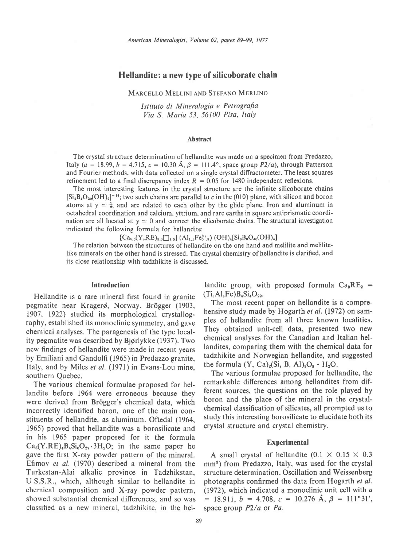# Hellandite: a new type of silicoborate chain

## MARCELLO MELLINI AND STEFANO MERLINO

Istituto di Mineralogia e Petrografia Via S. Maria 53, 56100 Pisa, Italy

#### Abstract

The crystal structure determination of hellandite was made on a specimen from Predazzo, Italy (a = 18.99, b = 4.715, c = 10.30 Å,  $\beta$  = 111.4°, space group P2/a), through Patterson and Fourier methods, with data collected on a single crystal diffractometer. The least squares refinement led to a final discrepancy index  $R = 0.05$  for 1480 independent reflexions.

The most interesting features in the crystal structure are the infinite silicoborate chains  $[S_i_{4}B_4O_{20}(OH)_2]$ <sup>-14</sup>; two such chains are parallel to c in the (010) plane, with silicon and boron atoms at  $y \approx \frac{1}{2}$ , and are related to each other by the glide plane. Iron and aluminum in octahedral coordination and calcium, yttrium, and rare earths in square antiprismatic coordination are all located at  $y \approx 0$  and connect the silicoborate chains. The structural investigation indicated the following formula for hellandite:

 $[Ca_{5.5}(Y,RE)_{5.0}\square_{1.5}](Al_{1.1}Fe_{0.9}^{3+})$   $(OH)_4[Si_8B_8O_{40}(OH)_4]$ 

The relation between the structures of hellandite on the one hand and melilite and melilitelike minerals on the other hand is stressed. The crystal chemistry of hellandite is clarified, and its close relationship with tadzhikite is discussed.

## Introduction

Hellandite is a rare mineral first found in granite pegmatite near Kragerø, Norway. Brögger (1903, 1907, 1922) studied its morphological crystallography, established its monoclinic symmetry, and gave chemical analyses. The paragenesis of the type locality pegmatite was described by Bjørlykke (1937). Two new findings of hellandite were made in recent years by Emiliani and Gandolfi (1965) in Predazzo granite, Italy, and by Miles et al. (1971) in Evans-Lou mine, southern Quebec.

The various chemical formulae proposed for hellandite before 1964 were erroneous because they were derived from Brögger's chemical data, which incorrectly identified boron, one of the main constituents of hellandite, as aluminum. Oftedal (1964, 1965) proved that hellandite was a borosilicate and in his 1965 paper proposed for it the formula  $Ca_3(Y,RE)_4B_4Si_6O_{27} \cdot 3H_2O$ ; in the same paper he gave the first X-ray powder pattern of the mineral. Efimov et al. (1970) described a mineral from the Turkestan-Alai alkalic province in Tadzhikstan, U.S.S.R., which, although similar to hellandite in chemical composition and X-ray powder pattern, showed substantial chemical differences, and so was classified as a new mineral, tadzhikite, in the hel-

landite group, with proposed formula  $Ca_8RE_2$  =  $(Ti, Al,Fe)B<sub>4</sub>Si<sub>4</sub>O<sub>22</sub>$ .

The most recent paper on hellandite is a comprehensive study made by Hogarth *et al.* (1972) on samples of hellandite from all three known localities. They obtained unit-cell data, presented two new chemical analyses for the Canadian and Italian hellandites, comparing them with the chemical data for tadzhikite and Norwegian hellandite, and suggested the formula  $(Y, Ca)<sub>2</sub>(Si, B, Al)<sub>3</sub>O<sub>8</sub> · H<sub>2</sub>O.$ 

The various formulae proposed for hellandite, the remarkable differences among hellandites from different sources, the questions on the role played by boron and the place of the mineral in the crystalchemical classification of silicates, all prompted us to study this interesting borosilicate to elucidate both its crystal structure and crystal chemistry.

### Experimental

A small crystal of hellandite  $(0.1 \times 0.15 \times 0.3)$ mm<sup>3</sup>) from Predazzo, Italy, was used for the crystal structure determination. Oscillation and Weissenberg photographs confirmed the data from Hogarth et al. (1972), which indicated a monoclinic unit cell with a  $= 18.911, b = 4.708, c = 10.276 \text{ Å}, \beta = 111^{\circ}31',$ space group  $P2/a$  or Pa.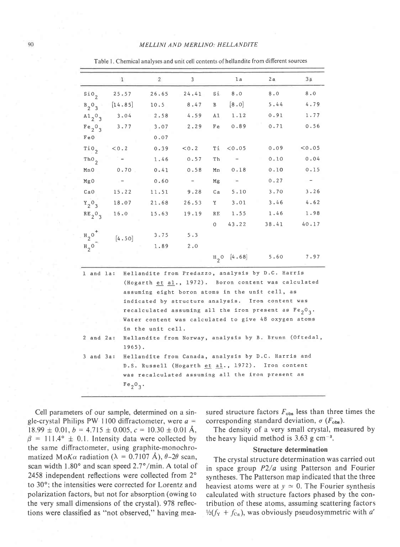|                                 | $\mathbf{1}$   | $\overline{2}$ | 3     |         | 1a                       | 2a                                                      | 3a     |
|---------------------------------|----------------|----------------|-------|---------|--------------------------|---------------------------------------------------------|--------|
| $\sin \theta$                   | 25.57          | 26.65          | 24.41 | Sí      | 8.0                      | 8.0                                                     | $8.0$  |
| $B_2O_3$                        | [14.85]        | 10.5           | 8.47  | B       | [8.0]                    | 5.44                                                    | 4.79   |
| A1,0,7                          | 3.04           | 2.58           | 4.59  | A1      | 1.12                     | 0.91                                                    | 1.77   |
| Fe <sub>2</sub> O <sub>3</sub>  | 3.77           | 3.07           | 2.29  | Fe      | 0.89                     | 0.71                                                    | 0.56   |
| FeO                             |                | 0.07           |       |         |                          |                                                         |        |
| $\overline{10}$                 | < 0.2          | 0.39           | < 0.2 | Τi      | < 0.05                   | 0.09                                                    | < 0.05 |
| $Th0$ <sub>2</sub>              |                | 1.46           | 0.57  | Τh      |                          | 0.10                                                    | 0.04   |
| Mn0                             | 0.70           | 0.41           | 0.58  | Mn      | 0.18                     | 0.10                                                    | 0.15   |
| MgO                             | $\overline{a}$ | 0.60           | $ \,$ | Mg      | $\overline{\phantom{a}}$ | 0.27                                                    | $-$    |
| CaO                             | 15.22          | 11.51          | 9.28  | Ca      | 5.10                     | 3.70                                                    | 3.26   |
| $Y_2$ <sup>0</sup> <sub>3</sub> | 18.07          | 21.68          | 26.53 | Y       | 3.01                     | 3.46                                                    | 4.62   |
| $RE_2O_3$                       | 16.0           | 15.63          | 19.19 | RE      | 1.55                     | 1.46                                                    | 1.98   |
|                                 |                |                |       | $\circ$ | 43.22                    | 38.41                                                   | 40.17  |
| $H_2O^+$                        | [4.50]         | 3.75           | 5.3   |         |                          |                                                         |        |
| $H_2O$                          |                | 1.89           | 2.0   |         |                          |                                                         |        |
|                                 |                |                |       |         |                          | $H_2$ 0 $[4.68]$ 5.60 7.97                              |        |
| 1 and la:                       |                |                |       |         |                          | Hellandite from Predazzo, analysis by D.C. Harris       |        |
|                                 |                |                |       |         |                          | (Hogarth et al., 1972). Boron content was calculated    |        |
|                                 |                |                |       |         |                          | assuming eight boron atoms in the unit cell, as         |        |
|                                 |                |                |       |         |                          | indicated by structure analysis. Iron content was       |        |
|                                 |                |                |       |         |                          | recalculated assuming all the iron present as $Fe2O2$ . |        |

Water content was calculated to give 48 oxygen atoms

Hellandite from Canada, analysis by D.C. Harris and

D.S. Russell (Hogarth et al., 1972). Iron content was recalculated assuming all the iron present as

2 and 2a: Hellandite from Norway, analysis by B. Brunn (Oftedal,

in the unit cell.

 $1965$ ).

 $Fe_2O_3$ .

Table 1. Chemical analyses and unit cell contents of hellandite from different sources

Cell parameters of our sample, determined on a single-crystal Philips PW 1100 diffractometer, were  $a =$  $18.99 \pm 0.01$ ,  $b = 4.715 \pm 0.005$ ,  $c = 10.30 \pm 0.01$  Å,  $\beta$  = 111.4°  $\pm$  0.1. Intensity data were collected by the same diffractometer, using graphite-monochromatized MoK $\alpha$  radiation ( $\lambda = 0.7107$  Å),  $\theta - 2\theta$  scan, scan width 1.80° and scan speed 2.7°/min. A total of 2458 independent reflections were collected from 2° to 30°; the intensities were corrected for Lorentz and polarization factors, but not for absorption (owing to the very small dimensions of the crystal). 978 reflections were classified as "not observed," having mea-

 $3$  and  $3a$ :

sured structure factors  $F_{obs}$  less than three times the corresponding standard deviation,  $\sigma$  ( $F_{\text{obs}}$ ).

The density of a very small crystal, measured by the heavy liquid method is  $3.63$  g cm<sup>-3</sup>.

#### **Structure determination**

The crystal structure determination was carried out in space group  $P2/a$  using Patterson and Fourier syntheses. The Patterson map indicated that the three heaviest atoms were at  $y \approx 0$ . The Fourier synthesis calculated with structure factors phased by the contribution of these atoms, assuming scattering factors  $\frac{1}{2}(f_{\rm Y} + f_{\rm Ca})$ , was obviously pseudosymmetric with a'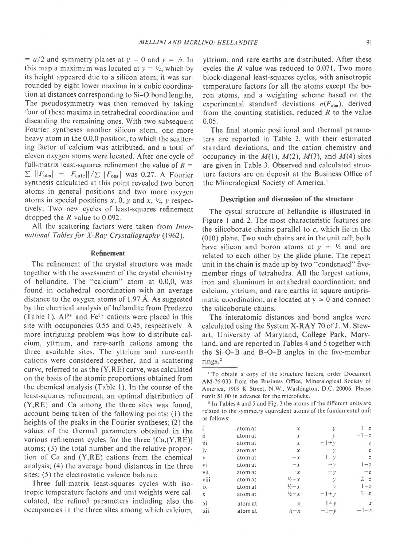$= a/2$  and symmetry planes at  $y = 0$  and  $y = \frac{1}{2}$ . In this map a maximum was located at  $y = \frac{1}{2}$ , which by its height appeared due to a silicon atom; it was surrounded by eight lower maxima in a cubic coordination at distances corresponding to Si-O bond lengths. The pseudosymmetry was then removed by taking four of these maxima in tetrahedral coordination and discarding the remaining ones. With two subsequent Fourier syntheses another silicon atom, one more heavy atom in the 0,0,0 position, to which the scattering factor of calcium was attributed, and a total of eleven oxygen atoms were located. After one cycle of full-matrix least-squares refinement the value of  $R =$  $\sum ||F_{\text{obs}}| - |F_{\text{calc}}||/\sum |F_{\text{obs}}|$  was 0.27. A Fourier synthesis calculated at this point revealed two boron atoms in general positions and two more oxygen atoms in special positions x, 0, y and x,  $\frac{1}{2}$ , y respectively. Two new cycles of least-squares refinement dropped the R value to 0.092.

All the scattering factors were taken from International Tables for X-Ray Crystallography (1962).

### Refinement

The refinement of the crystal structure was made together with the assessment of the crystal chemistry of hellandite. The "calcium" atom at 0,0,0, was found in octahedral coordination with an average distance to the oxygen atoms of 1.97 A. As suggested by the chemical analysis of hellandite from Predazzo (Table 1),  $Al^{3+}$  and  $Fe^{3+}$  cations were placed in this site with occupancies 0.55 and 0.45, respectively. A more intriguing problem was how to distribute calcium, yttrium, and rare-earth cations among the three available sites. The yttrium and rare-earth cations were considered together, and a scattering curve, referred to as the (Y,RE) curve, was calculated on the basis of the atomic proportions obtained from the chemical analysis (Table l). In the course of the least-squares refinement, an optimal distribution of (Y,RE) and Ca among the three sites was found, account being taken of the following points: (1) the heights of the peaks in the Fourier syntheses; (2) the values of the thermal parameters obtained in the various refinement cycles for the three  $[Ca,(Y,RE)]$ atoms; (3) the total number and the relative proportion of Ca and (Y,RE) cations from the chemical analysis; (4) the average bond distances in the three sites; (5) the electrostatic valence balance.

Three full-matrix least-squares cycles with isotropic temperature factors and unit weights were calculated, the refined parameters including also the occupancies in the three sites among which calcium, yttrium, and rare earths are distributed. After these cycles the R value was reduced to 0.071. Two more block-diagonal least-squares cycles, with anisotropic temperature factors for all the atoms except the boron atoms, and a weighting scheme based on the experimental standard deviations  $\sigma(F_{obs})$ , derived from the counting statistics, reduced  $R$  to the value 0.05.

The final atomic positional and thermal parameters are reported in Table 2, with their estimated standard deviations, and the cation chemistry and occupancy in the  $M(1)$ ,  $M(2)$ ,  $M(3)$ , and  $M(4)$  sites are given in Table 3. Observed and calculated structure factors are on deposit at the Business Office of the Mineralogical Society of America.'

## Description and discussion of the structure

The cystal structure of hellandite is illustrated in Figure I and 2. The most characteristic features are the silicoborate chains parallel to  $c$ , which lie in the (010) plane. Two such chains are in the unit cell; both have silicon and boron atoms at  $y \approx \frac{1}{2}$  and are related to each other by the glide plane. The repeat unit in the chain is made up by two "condensed" fivemember rings of tetrahedra. All the largest cations, iron and aluminum in octahedral coordination, and calcium, yttrium, and rare earths in square antiprismatic coordination, are located at  $y \approx 0$  and connect the silicoborate chains.

The interatomic distances and bond angles were calculated using the System X-RAY 70 of J. M. Stewart, University of Maryland, College Park, Maryland, and are reported in Tables 4 and 5 together with the Si-O-B and B-O-B angles in the five-member rings.<sup>2</sup>

' In Tables 4 and 5 and Fig. 3 the atoms of the different units are related to the symmetry equivalent atoms of the fundamental unit as follows:

|      | atom at | $\chi$            | у             | $1+z$            |
|------|---------|-------------------|---------------|------------------|
| ij   | atom at | х                 | $\mathcal{V}$ | $-1+z$           |
| iii  | atom at | $\boldsymbol{x}$  | $-1+y$        | z                |
| iv   | atom at | $\chi$            | $-y$          | $\boldsymbol{z}$ |
| v    | atom at | $-x$              | $1 - y$       | $-z$             |
| vi   | atom at | $-x$              | $-\nu$        | $1-z$            |
| vii  | atom at | $-x$              | $-\nu$        | $-z$             |
| viii | atom at | $\frac{1}{2} - x$ | у             | $2-z$            |
| ix   | atom at | $\frac{1}{2} - x$ | $\mathcal V$  | $1-z$            |
| X.   | atom at | $\frac{1}{2} - x$ | $-1+y$        | $1-z$            |
| xi   | atom at | х                 | $1+y$         | $\overline{z}$   |
| xii  | atom at | $\frac{1}{2} - x$ | $-1-\nu$      | $-1-z$           |
|      |         |                   |               |                  |

<sup>&</sup>lt;sup>1</sup> To obtain a copy of the structure factors, order Document AM-76-033 from the Business Office, Mineralogical Society of America, 1909 K Street, N.W., Washington, D.C. 20006. Please remit \$1,00 in advance for the microfiche.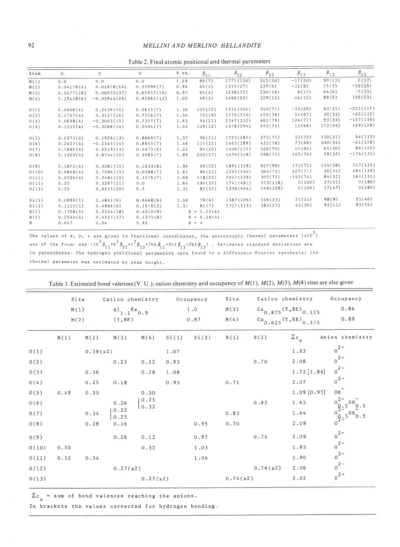| Atom  | $\mathbf{x}$ | y              | $\mathbf{z}$ | $B$ $eq.$ | $\beta_{11}$           | $\beta_{22}$ | $\beta_{33}$ | $\beta_{12}$ | $\beta_{13}$ | $\beta_{23}$ |
|-------|--------------|----------------|--------------|-----------|------------------------|--------------|--------------|--------------|--------------|--------------|
| M(1)  | 0.0          | 0.0            | 0.0          | 1.29      | 89(7)                  | 1771(130)    | 325(26)      | $-17(30)$    | 90(11)       | 2(57)        |
| M(2)  | 0.04179(4)   | 0.01878(14)    | 0.35996(7)   | 0.94      | 63(2)                  | 1333(27)     | 239(6)       | $-32(8)$     | 75(3)        | $-33(15)$    |
| M(3)  | 0.24771(8)   | 0.00225(37)    | 0.65957(16)  | 0.93      | 65(4)                  | 1238(72)     | 230(16)      | 8(17)        | 64(6)        | $-7(33)$     |
| M(4)  | 0.15428(6)   | $-0.03944(26)$ | 0.92862(12)  | 1.02      | 49(3)                  | 1466(50)     | 329(12)      | 44(12)       | 89(5)        | 109(23)      |
| 0(1)  | 0.0408(4)    | 0, 2436(14)    | 0.5635(7)    | 1.36      | 107(22)                | 1531(304)    | 310(71)      | $-33(69)$    | 60(31)       | $-251(127)$  |
| 0(2)  | 0.1757(4)    | 0.3127(14)     | 0.7556(7)    | 1.50      | 75(19)                 | 1770(310)    | 453(76)      | 51(67)       | 30(33)       | $-42(132)$   |
| 0(3)  | 0.0698(4)    | $-0.3003(15)$  | 0.7357(7)    | 1.63      | 94(21)                 | 2167(332)    | 461(76)      | 124(71)      | 93(33)       | $-157(136)$  |
| 0(4)  | 0.1312(4)    | $-0.3268(14)$  | 0.5404(7)    | 1.42      | 129(22)                | 1478(294)    | 452(75)      | 11(68)       | 173(34)      | 169(128)     |
| 0(5)  | 0.0373(4)    | 0.1926(13)     | 0.8669(7)    | $-1.37$   | 96(21)                 | 1723 (285)   | 375(71)      | 53(70)       | 110(31)      | 64(133)      |
| 0(6)  | 0.2457(4)    | $-0.2345(14)$  | 0.8605(7)    | 1.46      | 111(22)                | 1463(289)    | 432 (76)     | 73(68)       | 100(34)      | $-41(128)$   |
| 0(7)  | 0.1665(4)    | 0.2219(13)     | 0.4475(6)    | 1.22      | 92(20)                 | 1406(275)    | 326(70)      | 41(64)       | 65(30)       | 86(122)      |
| 0(8)  | 0.1303(4)    | 0.6744(15)     | 0.3085(7)    | 1.89      | 202(27)                | 1670(318)    | 298(72)      | 105(76)      | 39(35)       | $-174(131)$  |
| 0(9)  | 0.1872(4)    | 0.3281(15)     | 0.1633(8)    | 1.96      | 99(22)                 | 1891(328)    | 927(99)      | 171(72)      | 234(38)      | 517(155)     |
| 0(10) | 0.0848(4)    | 0.7286(15)     | 0.0388(7)    | 1.62      | 86(21)                 | 2265(334)    | 364(72)      | 107(71)      | 36(31)       | 284(139)     |
| 0(11) | 0.0526(4)    | 0.2484(15)     | 0.1576(7)    | 1.68      | 118(22)                | 2047(329)    | 307(72)      | $-143(74)$   | 84(32)       | 161(131)     |
| 0(12) | 0.25         | 0.3267(21)     | 0.0          | 1.64      | 190(35)                | 1741(481)    | 373(118)     | 0(100)       | 37(51)       | 0(180)       |
| 0(13) | 0.25         | 0.6515(20)     | 0.5          | 1.31      | 82(32)                 | 1336(444)    | 549(109)     | 0(100)       | 37(47)       | 0(180)       |
| Si(1) | 0.0999(1)    | 0.4851(6)      | 0.6468(6)    | 1.10      | 79(6)                  | 1387(106)    | 336(23)      | 21(24)       | 98(9)        | 53(46)       |
| Si(2) | 0.1112(1)    | 0.4966(6)      | 0.1616(3)    | 1.31      | 81(7)                  | 1727(113)    | 382(27)      | 43(30)       | 93(11)       | 93(54)       |
| B(1)  | 0.1708(5)    | 0.5344(18)     | 0.4510(9)    |           | 0.25(4)<br>$B =$       |              |              |              |              |              |
| B(2)  | 0.2544(4)    | 0.4527(17)     | 0.1375(8)    |           | 0.18(4)<br>$B =$       |              |              |              |              |              |
| H     | 0.047        | 0.04           | 0.92         |           | $\frac{1}{4}$<br>$B =$ |              |              |              |              |              |

Table2. Final atomic positional and thermal parameters

The values of x, y, z are given in fractional coordinates, the and<br>are of the form: exp -(h  $^2\beta_{\Lambda_1}+k^2\beta_{\Lambda_2}+1^2\beta_{\Lambda_3}+2\ln\beta_{\Lambda_1}+2\ln\beta_{\Lambda_2}+2\ln\beta_{\Lambda_2})$ . values of the t oun: thermal parameter was estimated by peak height. thermal parameters (x10<sup>5</sup>) . Estina!ed standard deviations are by a difference Fourier synthesis; it

|       |      | Site<br>M(1) | Cation chemistry                       |              |       | Occupancy<br>1.0 | Site<br>M(3) |          | Cation chemistry<br>$a_{0.875}$ (Y, RE) <sub>0.125</sub> | Occupancy<br>0.86                                   |
|-------|------|--------------|----------------------------------------|--------------|-------|------------------|--------------|----------|----------------------------------------------------------|-----------------------------------------------------|
|       |      | M(2)         | $A1_{1,1}Fe$ <sub>0.9</sub><br>(Y, RE) |              |       | 0.87             | M(4)         |          | $Ca0.625(Y, RE)0.375$                                    | 0.89                                                |
|       | M(1) | M(2)         | M(3)                                   | M(4)         | Si(1) | Si(2)            | B(1)         | B(2)     | $\Sigma$ c <sub>y</sub>                                  | Anion chemistry                                     |
| 0(1)  |      | 0.38(x2)     |                                        |              | 1.07  |                  |              |          | 1.83                                                     | $0^{2}$                                             |
| 0(2)  |      |              | 0.23                                   | 0.22         | 0.93  |                  |              | 0.70     | 2.08                                                     | $0^{2}$                                             |
| 0(3)  |      | 0.36         |                                        | 0.28         | 1.08  |                  |              |          | 1.72 [1.86]                                              | $0^{2}$                                             |
| O(4)  |      | 0.25         | 0.18                                   |              | 0.93  |                  | 0.71         |          | 2.07                                                     | $0^{2}$                                             |
| 0(5)  | 0.49 | 0.30         |                                        | 0.30         |       |                  |              |          | 1.09[0.95]                                               | $OH^-$                                              |
| 0(6)  |      |              | 0.26                                   | 0.25<br>0.32 |       |                  |              | 0.82     | 1.65                                                     |                                                     |
| 0(7)  |      | 0.34         | 0.22<br>0.25                           |              |       |                  | 0.83         |          | 1.64                                                     | $0\frac{9.5}{10}$<br>$0^{9.5}$ <sup>OH</sup><br>0.5 |
| 0(8)  |      | 0.28         | 0.16                                   |              |       | 0.95             | 0.70         |          | 2.09                                                     |                                                     |
| 0(9)  |      |              | 0.26                                   | 0.12         |       | 0.97             |              | 0.74     | 2.09                                                     | $0^{2-}$                                            |
| 0(10) | 0.50 |              |                                        | 0.32         |       | 1.03             |              |          | 1.85                                                     | $0^{2}$                                             |
| 0(11) | 0.52 | 0.34         |                                        |              |       | 1.04             |              |          | 1.90                                                     | $0^{2}$                                             |
| 0(12) |      |              | 0.27(x2)                               |              |       |                  |              | 0.76(x2) | 2.06                                                     | $0^{2}$                                             |
| 0(13) |      |              |                                        | 0.27(x2)     |       |                  | 0.74(x2)     |          | 2.02                                                     | $0^{2}$                                             |

Table 3. Estimated bond valences (V. U.); cation chemistry and occupancy of  $M(1)$ ,  $M(2)$ ,  $M(3)$ ,  $M(4)$  sites are also given

 $\Sigma$ c = sum of bond valences reaching the anions.

In brackets the values corrected for hydrogen bonding.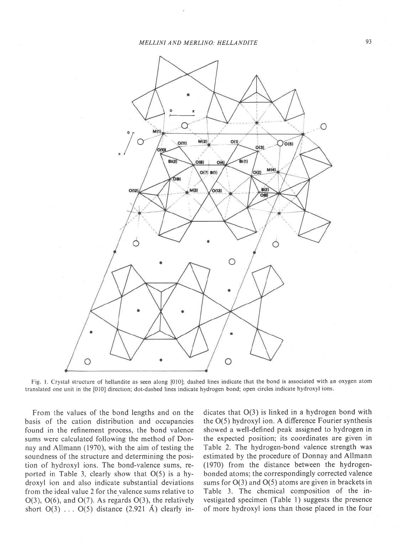

Fig. l. Crystal structure of hellandite as seen along [010]; dashed lines indicate that the bond is associated with an oxygen atom translated one unit in the [010] direction; dot-dashed lines indicate hydrogen bond; open circles indicate hydroxyl ions.

From the values of the bond lengths and on the basis of the cation distribution and occupancies found in the refinement process, the bond valence sums were calculated following the method of Donnay and Allmann (1970), with the aim of testing the soundness of the structure and determining the position of hydroxyl ions. The bond-valence sums, reported in Table 3, clearly show that O(5) is a hydroxyl ion and also indicate substantial deviations from the ideal value 2 for the valence sums relative to  $O(3)$ ,  $O(6)$ , and  $O(7)$ . As regards  $O(3)$ , the relatively short  $O(3)$  ...  $O(5)$  distance  $(2.921 \text{ Å})$  clearly indicates that O(3) is linked in a hydrogen bond with the O(5) hydroxyl ion. A difference Fourier synthesis showed a well-defined peak assigned to hydrogen in the expected position; its coordinates are given in Table 2. The hydrogen-bond valence strength was estimated by the procedure of Donnay and Allmann (1970) from the distance between the hydrogenbonded atoms; the correspondingly corrected valence sums for O(3) and O(5) atoms are given in brackets in Table 3. The chemical composition of the investigated specimen (Table 1) suggests the presence of more hydroxyl ions than those placed in the four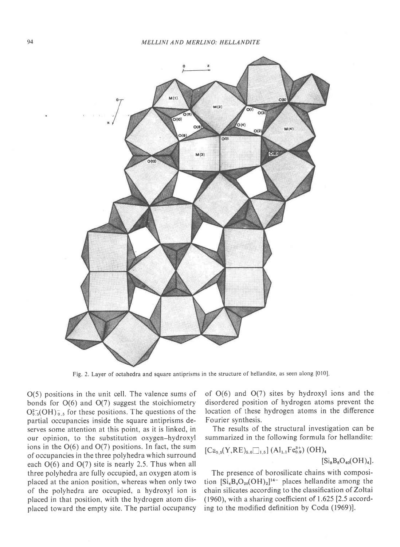

Fig. 2. Layer of octahedra and square antiprisms in the structure of hellandite, as seen along [010]

O(5) positions in the unit cell. The valence sums of bonds for  $O(6)$  and  $O(7)$  suggest the stoichiometry  $O_{0.5}^{2-}(\text{OH})_{0.5}^-$  for these positions. The questions of the partial occupancies inside the square antiprisms deserves some attention at this point, as it is linked, in our opinion, to the substitution oxygen-hydroxyl ions in the  $O(6)$  and  $O(7)$  positions. In fact, the sum of occupancies inthe three polyhedra which surround each 0(6) and O(7) site is nearly 2.5. Thus when all three polyhedra are fully occupied, an oxygen atom is placed at the anion position, whereas when only two of the polyhedra are occupied, a hydroxyl ion is placed in that position, with the hydrogen atom displaced toward the empty site. The partial occupancy of  $O(6)$  and  $O(7)$  sites by hydroxyl ions and the disordered position of hydrogen atoms prevent the location of these hydrogen atoms in the difference Fourier synthesis.

The results of the structural investigation can be summarized in the following formula for hellandite:

$$
\begin{array}{l} \left[Ca_{5.5}(Y,RE)_{5.0}\Box_{1.5}\right](AI_{1.1}Fe_{0.9}^{3+})\ (OH)_{4} \\ \qquad \qquad \left[Si_{8}B_{8}O_{40}(OH)_{4}\right].\end{array}
$$

The presence of borosilicate chains with composition  $[Si_4B_4O_{20}(OH)_2]^{14-}$  places hellandite among the chain silicates according to the classification of Zoltai  $(1960)$ , with a sharing coefficient of 1.625 [2.5 according to the modified definition by Coda (1969)].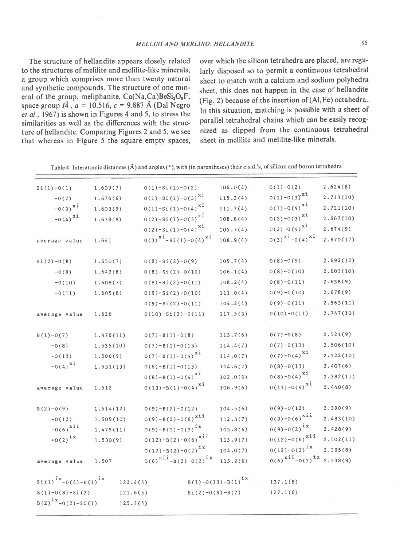The structure of hellandite appears closely related to the structures of melilite and melilite-like minerals, a group which comprises more than twenty natural and synthetic compounds. The structure of one mineral of the group, meliphanite,  $Ca(Na,Ca)BeSi<sub>2</sub>O<sub>6</sub>F$ , space group  $I\overline{4}$ ,  $a = 10.516$ ,  $c = 9.887$  Å (Dal Negro et al., 1967) is shown in Figures 4 and 5, to stress the similarities as well as the differences with the structure of hellandite. Comparing Figures 2 and 5, we see that whereas in Figure 5 the square empty spaces, over which the silicon tetrahedra are placed, are regularly disposed so to permit a continuous tetrahedral sheet to match with a calcium and sodium polyhedra sheet, this does not happen in the case of hellandite (Fig. 2) because of the insertion of (Al,Fe) octahedra. , In this situation, matching is possible with a sheet of parallel tetrahedral chains which can be easily recognized as clipped from the continuous tetrahedral sheet in melilite and melilite-like minerals.

| Table 4. Interatomic distances $(A)$ and angles $(°)$ , with (in parentheses) their e.s.d.'s, of silicon and boron tetrahedra |  |  |  |  |  |
|-------------------------------------------------------------------------------------------------------------------------------|--|--|--|--|--|
|-------------------------------------------------------------------------------------------------------------------------------|--|--|--|--|--|

| $Si(1)-O(1)$<br>$-0(2)$<br>$-0(3)^{xi}$<br>$-0(4)^{xi}$ | 1.609(7)<br>1.676(6)<br>1.603(9)<br>1.678(8) | $0(1)-Si(1)-0(2)$<br>$0(1)-Si(1)-0(3)^{xi}$<br>$0(1) - Si(1) - 0(4)^{X1}$<br>$0(2) - 5i(1) - 0(3)^{xi}$ |                   | 106.0(4)<br>115.3(4)<br>111.7(4)<br>108.8(4) | $0(1)-0(2)$<br>$0(1)-0(3)^{x1}$<br>$0(1)-0(4)^{x1}$<br>$0(2)-0(3)^{x1}$ | 2.624(8)<br>2.713(10)<br>2.721(10)<br>2.667(10) |  |
|---------------------------------------------------------|----------------------------------------------|---------------------------------------------------------------------------------------------------------|-------------------|----------------------------------------------|-------------------------------------------------------------------------|-------------------------------------------------|--|
| average value                                           | 1.641                                        | $0(2) - Si(1) - 0(4)^{xi}$<br>$0(3)^{x1}$ -Si(1)-0(4) <sup>xi</sup>                                     |                   | 105.7(4)<br>108.9(4)                         | $0(2)-0(4)^{x1}$<br>$0(3)^{x_1} - 0(4)^{x_1}$                           | 2.674(9)<br>2.670(12)                           |  |
| $Si(2)-0(8)$                                            | 1.650(7)                                     | $0(8)-Si(2)-0(9)$                                                                                       |                   | 109.7(4)                                     | $0(8)-0(9)$                                                             | 2.692(12)                                       |  |
| $-0(9)$                                                 | 1.642(8)                                     | $0(8)-Si(2)-0(10)$                                                                                      |                   | 106.1(4)                                     | $0(8)-0(10)$                                                            | 2.603(10)                                       |  |
| $-0(10)$                                                | 1.608(7)                                     | $0(8)-Si(2)-0(11)$                                                                                      |                   | 108.2(4)                                     | $0(8)-0(11)$                                                            | 2.638(9)                                        |  |
| $-0(11)$                                                | 1.605(8)                                     | $0(9)-Si(2)-0(10)$                                                                                      |                   | 111.0(4)                                     | $0(9)-0(10)$                                                            | 2.678(9)                                        |  |
|                                                         |                                              | $0(9)-Si(2)-0(11)$                                                                                      |                   | 104.2(4)                                     | $0(9)-0(11)$                                                            | 2.563(11)                                       |  |
| average value                                           | 1.626                                        | $0(10)-Si(2)-0(11)$                                                                                     |                   | 117.5(3)                                     | $0(10)-0(11)$                                                           | 2.747(10)                                       |  |
|                                                         |                                              |                                                                                                         |                   |                                              |                                                                         |                                                 |  |
| $B(1)-O(7)$                                             | 1.476(11)                                    | $O(7)-B(1)-O(8)$                                                                                        |                   | 113.7(6)                                     | $0(7)-0(8)$                                                             | 2.521(9)                                        |  |
| $-0(8)$                                                 | 1.535(10)                                    | $0(7)-B(1)-0(13)$                                                                                       |                   | 114.4(7)                                     | $0(7)-0(13)$                                                            | 2.506(10)                                       |  |
| $-0(13)$                                                | 1.506(9)                                     | $0(7)-B(1)-0(4)^{x1}$                                                                                   |                   | 114.0(7)                                     | $0(7)-0(4)^{x1}$                                                        | 2.522(10)                                       |  |
| $-0(4)^{xi}$                                            | 1.531(13)                                    | $0(8)-B(1)-0(13)$                                                                                       |                   | 104.6(7)                                     | $0(8)-0(13)$                                                            | 2.407(6)                                        |  |
|                                                         |                                              | $0(8)-B(1)-0(4)^{x1}$                                                                                   |                   | 102.0(6)                                     | $0(8)-0(4)^{x_1}$                                                       | 2.382(11)                                       |  |
| average value                                           | 1.512                                        | $0(13)-B(1)-0(4)^{x_1}$                                                                                 |                   | 106.9(6)                                     | $0(13)-0(4)^{x1}$                                                       | 2.440(8)                                        |  |
|                                                         | 1.514(12)                                    | $0(9)-B(2)-0(12)$                                                                                       |                   | 104.5(6)                                     | $0(9)-0(12)$                                                            | 2.390(9)                                        |  |
| $B(2)-O(9)$                                             |                                              | $0(9)-B(2)-0(6)^{x11}$                                                                                  |                   | 112.3(7)                                     | $0(9)-0(6)^{xii}$                                                       | 2.483(10)                                       |  |
| $-0(12)$<br>$-0(6)^{xii}$                               | 1.509(10)                                    | $0(9)-B(2)-0(2)^{ix}$                                                                                   |                   | 105.8(6)                                     | $0(9)-0(2)^{1x}$                                                        | 2.428(9)                                        |  |
| $-0(2)^{ix}$                                            | 1.475(11)                                    | $0(12)-B(2)-0(6)^{xii}$                                                                                 |                   | 113.9(7)                                     | $0(12)-0(6)^{xii}$                                                      | 2.502(11)                                       |  |
|                                                         | 1.530(9)                                     | $0(12)-B(2)-0(2)^{ix}$                                                                                  |                   |                                              | $0(12)-0(2)^{ix}$                                                       | 2.395(8)                                        |  |
| average value                                           | 1.507                                        | $0(6)^{xii} - B(2) - 0(2)^{ix}$                                                                         |                   | 104.0(7)<br>115.2(6)                         | $0(6)^{xii} - 0(2)^{ix}$                                                | 2.538(9)                                        |  |
|                                                         |                                              |                                                                                                         |                   |                                              |                                                                         |                                                 |  |
| $\sin(1)^{iv} - O(4) - B(1)^{iv}$                       | 122.4(5)                                     |                                                                                                         |                   | $B(1) - O(13) - B(1)^{1x}$                   | 137.1(8)                                                                |                                                 |  |
| $B(1)-0(8)-Si(2)$                                       | 121.6(5)                                     |                                                                                                         | $Si(2)-O(9)-B(2)$ |                                              | 127.1(6)                                                                |                                                 |  |
| $B(2)^{ix}-0(2)-Si(1)$<br>125.3(5)                      |                                              |                                                                                                         |                   |                                              |                                                                         |                                                 |  |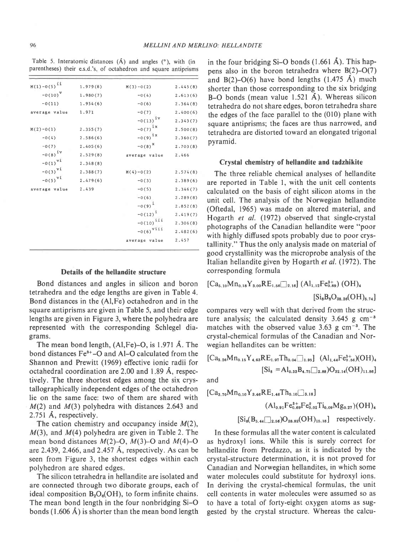Table 5. Interatomic distances  $(A)$  and angles  $(°)$ , with (in parentheses) their e.s.d.'s, of octahedron and square antiprisms

| $M(1) - O(5)^{11}$ | 1.979(8) | $M(3)-O(2)$         | 2.445(8) |
|--------------------|----------|---------------------|----------|
| $-0(10)^V$         | 1.980(7) | $-0(4)$             | 2.613(6) |
| $-0(11)$           | 1.954(6) | $-0(6)$             | 2.364(8) |
| average value      | 1.971    | $-0(7)$             | 2.400(6) |
|                    |          | $-0(13)^{iv}$       | 2.343(7) |
| $M(2)-O(1)$        | 2.355(7) | $-0(7)^{1x}$        | 2.500(8) |
| $-0(4)$            | 2.586(6) | $-0(9)^{1x}$        | 2.360(7) |
| $-0(7)$            | 2.405(6) | $-0(8)^{x}$         | 2.703(8) |
| $-0(8)^{iv}$       | 2.529(8) | average value       | 2,466    |
| $-0(1)^{VI}$       | 2.348(8) |                     |          |
| $-0(3)^{\nu i}$    | 2.388(7) | $M(4)-O(2)$         | 2.574(8) |
| $-0(5)^{\nu i}$    | 2.479(6) | $-0(3)$             | 2.389(6) |
| average value      | 2.439    | $-0(5)$             | 2.346(7) |
|                    |          | $-0(6)$             | 2.289(8) |
|                    |          | $-0(9)^{1}$         | 2.852(8) |
|                    |          | $-0(12)^{1}$        | 2.419(7) |
|                    |          | $-0(10)^{111}$      | 2.306(8) |
|                    |          | $-0(6)^{\nu i i i}$ | 2.482(6) |
|                    |          | average value       | 2,457    |
|                    |          |                     |          |

## Details of the hellandite structure

Bond distances and angles in silicon and boron tetrahedra and the edge lengths are given in Table 4. Bond distances in the (Al,Fe) octahedron and in the square antiprisms are given in Table 5, and their edge lengths are given in Figure 3, where the polyhedra are represented with the corresponding Schlegel diagrams.

The mean bond length,  $(AI,Fe)-O$ , is 1.971 Å. The bond distances Fe<sup>3+</sup>-O and Al-O calculated from the Shannon and Prewitt (1969) effective ionic radii for octahedral coordination are 2.00 and 1.89 A, respectively. The three shortest edges among the six crystallographically independent edges of the octahedron lie on the same face: two of them are shared with  $M(2)$  and  $M(3)$  polyhedra with distances 2.643 and 2.751 A, respectively.

The cation chemistry and occupancy inside  $M(2)$ ,  $M(3)$ , and  $M(4)$  polyhedra are given in Table 2. The mean bond distances  $M(2)$ –O,  $M(3)$ –O and  $M(4)$ –O are 2.439, 2.466, and 2.457  $\AA$ , respectively. As can be seen from Figure 3, the shortest edges within each polyhedron are shared edges.

The silicon tetrahedra in hellandite are isolated and are connected through two diborate groups, each of ideal composition  $B_2O_6(OH)$ , to form infinite chains. The mean bond length in the four nonbridging Si-O bonds  $(1.606 \text{ Å})$  is shorter than the mean bond length

in the four bridging Si-O bonds  $(1.661 \text{ Å})$ . This happens also in the boron tetrahedra where B(2)-O(7) and  $B(2)-O(6)$  have bond lengths  $(1.475 \text{ Å})$  much shorter than those corresponding to the six bridging B-O bonds (mean value  $1.521 \text{ Å}$ ). Whereas silicon tetrahedra do not share edges, boron tetrahedra share the edges of the face parallel to the (010) plane with square antiprisms; the faces are thus narrowed, and tetrahedra are distorted toward an elongated trigonal pyramid.

### Crystal chemistry of hellandite and tadzhikite

The three reliable chemical analyses of hellandite are reported in Table 1, with the unit cell contents calculated on the basis of eight silicon atoms in the unit cell. The analysis of the Norwegian hellandite (Oftedal, 1965) was made on altered material, and  $H$ ogarth *et al.* (1972) observed that single-crystal photographs of the Canadian hellandite were "poor with highly diffused spots probably due to poor crystallinity." Thus the only analysis made on material of good crystallinity was the microprobe analysis of the Italian hellandite given by Hogarth et al. (1972). The corresponding formula

$$
[\text{Ca}_{5.10}\text{Mn}_{0.18}\text{Y}_{3.00}\text{RE}_{1.56}\text{Z}_{2.16}] \text{ (Al}_{1,12}\text{Fe}_{0.89}^{3+}) \text{ (OH)}_{4}
$$
  

$$
[\text{Si}_{8}\text{B}_{8}\text{O}_{38.26}(\text{OH})_{5.74}]
$$

compares very well with that derived from the structure analysis; the calculated density  $3.645$  g cm<sup>-3</sup> matches with the observed value  $3.63$  g cm<sup>-3</sup>. The crystal-chemical formulas of the Canadian and Norwegian hellandites can be written:

$$
\begin{aligned} \text{[Ca}_{3.26}Mn_{0.15}Y_{4.63}RE_{1.97}Th_{0.04}\Box_{1.95}\text{]} \quad\text{(Al}_{1.44}Fe_{0.56}^{3+}(OH)_{4}\\ \text{[Si}_{8} = Al_{0.33}B_{4.75}\Box_{2.88})O_{32.14}(OH)_{11.86}\text{]} \end{aligned}
$$

and

$$
\begin{aligned} [Ca_{3.70}Mn_{0.10}Y_{3.46}RE_{1.46}Th_{0.10}\Box_{3.18}]\\ (Al_{0.91}Fe_{0.69}^{3+}Fe_{0.02}^{2}Ti_{0.09}Mg_{0.27})(OH)_4\\ [Si_6(B_{5.44}\Box_{2.56})O_{28.82}(OH)_{15.18}] \quad respectively. \end{aligned}
$$

In these formulas all the water content is calculated as hydroxyl ions. While this is surely correct for hellandite from Predazzo, as it is indicated by the crystal-structure determination, it is not proved for Canadian and Norwegian hellandites, in which some water molecules could substitute for hydroxyl ions. In deriving the crystal-chemical formulas, the unit cell contents in water molecules were assumed so as to have a total of forty-eight oxygen atoms as suggested by the crystal structure. Whereas the calcu-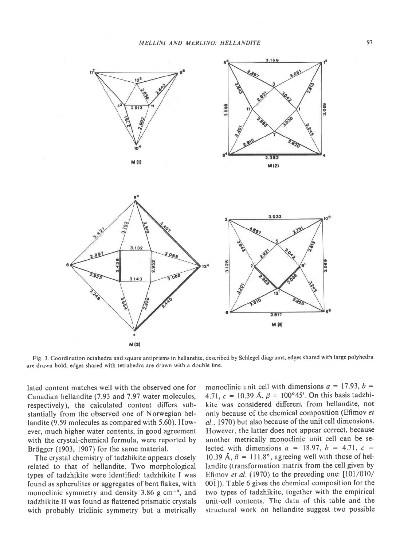

Fig. 3. Coordination octahedra and square antiprisms in hellandite, described by Schlegel diagrams; edges shared with large polyhedra are drawn bold, edges shared with tetrahedra are drawn with a double line.

lated content matches well with the observed one for Canadian hellandite (7.93 and 7.97 water molecules, respectively), the calculated content differs substantially from the observed one of Norwegian hellandite (9.59 molecules as compared with 5.60). However, much higher water contents, in good agreement with the crystal-chemical formula, were reported by Brögger (1903, 1907) for the same material.

The crystal chemistry of tadzhikite appears closely related to that of hellandite. Two morphological types of tadzhikite were identified: tadzhikite I was found as spherulites or aggregates of bent flakes, with monoclinic symmetry and density 3.86 g cm<sup>-3</sup>, and tadzhikite II was found as flattened prismatic crystals with probably triclinic symmetry but a metrically monoclinic unit cell with dimensions  $a = 17.93$ ,  $b = 1$ 4.71,  $c = 10.39$  Å,  $\beta = 100^{\circ}45'$ . On this basis tadzhikite was considered different from hellandite, not only because of the chemical composition (Efimov et al., 1970) but also because of the unit cell dimensions. However, the latter does not appear correct, because another metrically monoclinic unit cell can be selected with dimensions  $a = 18.97$ ,  $b = 4.71$ ,  $c =$ 10.39 Å,  $\beta = 111.8^{\circ}$ , agreeing well with those of hellandite (transformation matrix from the cell given by Efimov et al.  $(1970)$  to the preceding one:  $[101/010/$ 001]). Table 6 gives the chemical composition for the two types of tadzhikite, together with the empirical unit-cell contents. The data of this table and the structural work on hellandite suggest two possible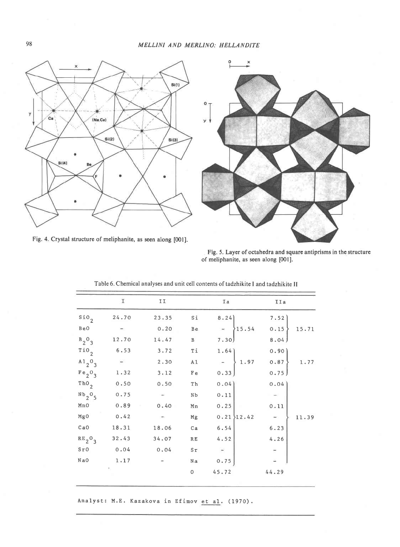

Fig. 4. Crystal structure of meliphanite, as seen along [001].



Fig. 5. Layer of octahedra and square antiprisms in the structure of meliphanite, as seen along [001].

|                                             | I     | II.    |                            | Ia                                                                                                     | IIa        |
|---------------------------------------------|-------|--------|----------------------------|--------------------------------------------------------------------------------------------------------|------------|
| $\sin \theta_2$                             | 24.70 | 23.35  | Si                         |                                                                                                        |            |
| BeO                                         |       | 0.20   | Be                         |                                                                                                        |            |
| $B_2O_3$                                    | 12.70 | 14.47  | B                          |                                                                                                        |            |
| $\overline{110}_2$                          | 6.53  | 3.72   | Τí                         |                                                                                                        |            |
| $A1$ <sub>2</sub> <sup>0</sup> <sub>3</sub> |       | 2.30   | A1                         | $\begin{bmatrix} 1.64 \\ - \\ 0.33 \end{bmatrix}$ $\begin{bmatrix} 0.90 \\ 1.97 \\ 0.75 \end{bmatrix}$ | $1\,.\,77$ |
| Fe <sub>2</sub> O <sub>3</sub>              | 1.32  | 3.12   | F e                        |                                                                                                        |            |
| $Th0$ <sub>2</sub>                          | 0.50  | 0.50   | Th                         | 0.04                                                                                                   | 0.04       |
| Nb <sub>2</sub> O <sub>5</sub>              | 0.75  | $\sim$ | NЬ                         | 0.11                                                                                                   |            |
| Mn0                                         | 0.89  | 0.40   | Mn                         | 0.25                                                                                                   | 0.11       |
| MgO                                         | 0.42  |        | Mg                         | $0.21$ 12.42                                                                                           | 11.39      |
| CaO                                         | 18.31 | 18.06  | Ca                         | 6.54                                                                                                   | 6.23       |
| $RE_2O_3$                                   | 32.43 | 34.07  | $\mathbb{R} \, \mathbb{E}$ | 4.52                                                                                                   | 4.26       |
| $S_{r}$ <sup>o</sup>                        | 0.04  | 0.04   | $S\tau$                    | $\overline{\phantom{a}}$                                                                               |            |
| NaO                                         | 1.17  |        | Na                         | 0.75                                                                                                   |            |
|                                             |       |        | 0                          | 45.72                                                                                                  | 44.29      |
|                                             |       |        |                            |                                                                                                        |            |

Table 6. Chemical analyses and unit cell contents of tadzhikite I and tadzhikite II

Analyst: M.E. Kazakova in Efimov et al. (1970).

 $98\,$